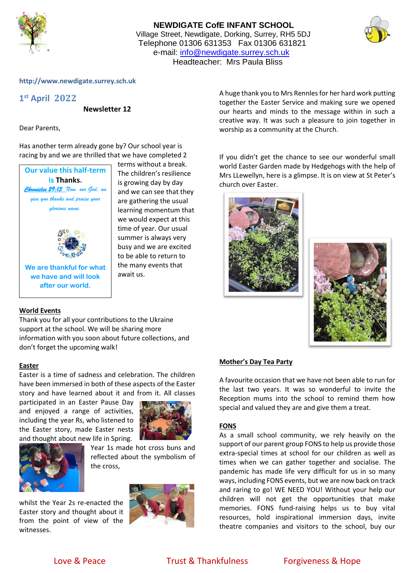

## **NEWDIGATE CofE INFANT SCHOOL** Village Street, Newdigate, Dorking, Surrey, RH5 5DJ Telephone 01306 631353 Fax 01306 631821 e-mail: [info@newdigate.surrey.sch.uk](mailto:info@newdigate.surrey.sch.uk) Headteacher: Mrs Paula Bliss



### **http://www.newdigate.surrey.sch.uk**

# **1 st April 2022**

**Newsletter 12**

Dear Parents,

Has another term already gone by? Our school year is racing by and we are thrilled that we have completed 2



### **World Events**

Thank you for all your contributions to the Ukraine support at the school. We will be sharing more information with you soon about future collections, and don't forget the upcoming walk!

### **Easter**

Easter is a time of sadness and celebration. The children have been immersed in both of these aspects of the Easter story and have learned about it and from it. All classes

participated in an Easter Pause Day and enjoyed a range of activities, including the year Rs, who listened to the Easter story, made Easter nests and thought about new life in Spring.





Year 1s made hot cross buns and reflected about the symbolism of the cross,

whilst the Year 2s re-enacted the Easter story and thought about it from the point of view of the witnesses.



A huge thank you to Mrs Rennles for her hard work putting together the Easter Service and making sure we opened our hearts and minds to the message within in such a creative way. It was such a pleasure to join together in worship as a community at the Church.

If you didn't get the chance to see our wonderful small world Easter Garden made by Hedgehogs with the help of Mrs LLewellyn, here is a glimpse. It is on view at St Peter's church over Easter.





### **Mother's Day Tea Party**

A favourite occasion that we have not been able to run for the last two years. It was so wonderful to invite the Reception mums into the school to remind them how special and valued they are and give them a treat.

### **FONS**

As a small school community, we rely heavily on the support of our parent group FONS to help us provide those extra-special times at school for our children as well as times when we can gather together and socialise. The pandemic has made life very difficult for us in so many ways, including FONS events, but we are now back on track and raring to go! WE NEED YOU! Without your help our children will not get the opportunities that make memories. FONS fund-raising helps us to buy vital resources, hold inspirational immersion days, invite theatre companies and visitors to the school, buy our

Love & Peace Trust & Thankfulness Forgiveness & Hope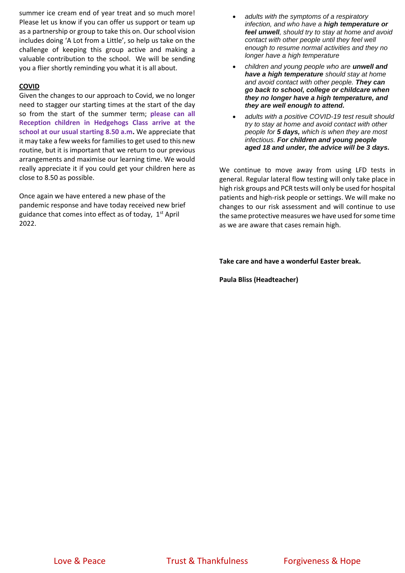summer ice cream end of year treat and so much more! Please let us know if you can offer us support or team up as a partnership or group to take this on. Our school vision includes doing 'A Lot from a Little', so help us take on the challenge of keeping this group active and making a valuable contribution to the school. We will be sending you a flier shortly reminding you what it is all about.

### **COVID**

Given the changes to our approach to Covid, we no longer need to stagger our starting times at the start of the day so from the start of the summer term; **please can all Reception children in Hedgehogs Class arrive at the school at our usual starting 8.50 a.m.** We appreciate that it may take a few weeks for families to get used to this new routine, but it is important that we return to our previous arrangements and maximise our learning time. We would really appreciate it if you could get your children here as close to 8.50 as possible.

Once again we have entered a new phase of the pandemic response and have today received new brief guidance that comes into effect as of today, 1<sup>st</sup> April 2022.

- *adults with the symptoms of a respiratory infection, and who have a high temperature or feel unwell, should try to stay at home and avoid contact with other people until they feel well enough to resume normal activities and they no longer have a high temperature*
- *children and young people who are unwell and have a high temperature should stay at home and avoid contact with other people. They can go back to school, college or childcare when they no longer have a high temperature, and they are well enough to attend.*
- *adults with a positive COVID-19 test result should try to stay at home and avoid contact with other people for 5 days, which is when they are most infectious. For children and young people aged 18 and under, the advice will be 3 days.*

We continue to move away from using LFD tests in general. Regular lateral flow testing will only take place in high risk groups and PCR tests will only be used for hospital patients and high-risk people or settings. We will make no changes to our risk assessment and will continue to use the same protective measures we have used for some time as we are aware that cases remain high.

**Take care and have a wonderful Easter break.**

**Paula Bliss (Headteacher)**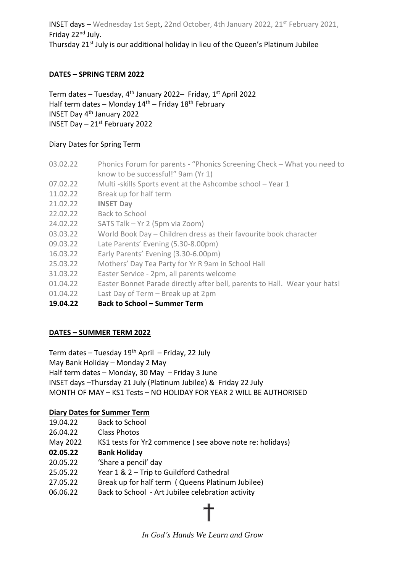INSET days – Wednesday 1st Sept, 22nd October, 4th January 2022, 21st February 2021, Friday 22nd July. Thursday 21<sup>st</sup> July is our additional holiday in lieu of the Queen's Platinum Jubilee

## **DATES – SPRING TERM 2022**

Term dates – Tuesday,  $4^{th}$  January 2022– Friday,  $1^{st}$  April 2022 Half term dates – Monday  $14<sup>th</sup>$  – Friday  $18<sup>th</sup>$  February INSET Day 4th January 2022 INSET Day – 21st February 2022

## Diary Dates for Spring Term

- 03.02.22 Phonics Forum for parents "Phonics Screening Check What you need to know to be successful!" 9am (Yr 1)
- 07.02.22 Multi -skills Sports event at the Ashcombe school Year 1
- 11.02.22 Break up for half term
- 21.02.22 **INSET Day**
- 22.02.22 Back to School
- 24.02.22 SATS Talk Yr 2 (5pm via Zoom)
- 03.03.22 World Book Day Children dress as their favourite book character
- 09.03.22 Late Parents' Evening (5.30-8.00pm)
- 16.03.22 Early Parents' Evening (3.30-6.00pm)
- 25.03.22 Mothers' Day Tea Party for Yr R 9am in School Hall
- 31.03.22 Easter Service 2pm, all parents welcome
- 01.04.22 Easter Bonnet Parade directly after bell, parents to Hall. Wear your hats!
- 01.04.22 Last Day of Term Break up at 2pm
- **19.04.22 Back to School – Summer Term**

## **DATES – SUMMER TERM 2022**

Term dates – Tuesday  $19<sup>th</sup>$  April – Friday, 22 July

May Bank Holiday – Monday 2 May

Half term dates – Monday, 30 May – Friday 3 June

INSET days –Thursday 21 July (Platinum Jubilee) & Friday 22 July

MONTH OF MAY – KS1 Tests – NO HOLIDAY FOR YEAR 2 WILL BE AUTHORISED

## **Diary Dates for Summer Term**

- 19.04.22 Back to School
- 26.04.22 Class Photos
- May 2022 KS1 tests for Yr2 commence ( see above note re: holidays)
- **02.05.22 Bank Holiday**
- 20.05.22 'Share a pencil' day
- 25.05.22 Year 1 & 2 Trip to Guildford Cathedral
- 27.05.22 Break up for half term ( Queens Platinum Jubilee)
- 06.06.22 Back to School Art Jubilee celebration activity



*In God's Hands We Learn and Grow*